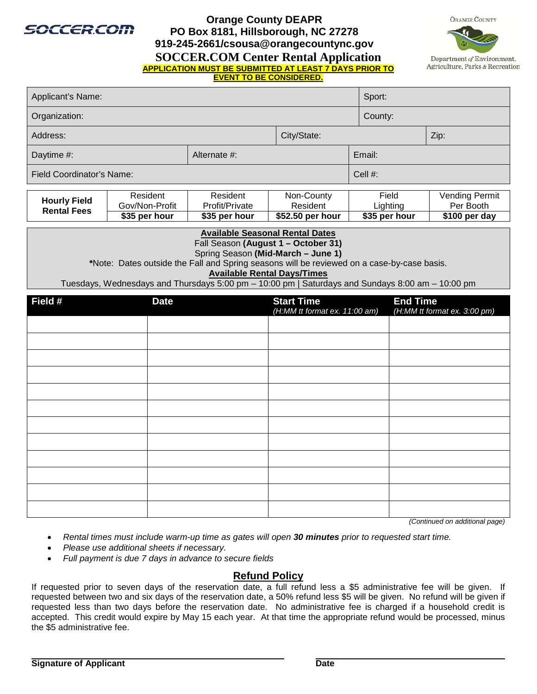

## **Orange County DEAPR PO Box 8181, Hillsborough, NC 27278 919-245-2661/csousa@orangecountync.gov SOCCER.COM Center Rental Application APPLICATION MUST BE SUBMITTED AT LEAST 7 DAYS PRIOR TO EVENT TO BE CONSIDERED.**



| Applicant's Name:         |              |             | Sport:  |      |
|---------------------------|--------------|-------------|---------|------|
| Organization:             |              |             | County: |      |
| Address:                  |              | City/State: |         | Zip: |
| Daytime #:                | Alternate #: |             | Email:  |      |
| Field Coordinator's Name: |              |             | Cell #: |      |

| Hourly Field | Resident       | Resident       | Non-County       | Fiela         | Vending Permit |
|--------------|----------------|----------------|------------------|---------------|----------------|
|              | Gov/Non-Profit | Profit/Private | Resident         | Liahtina      | Per Booth      |
| Rental Fees  | \$35 per hour  | \$35 per hour  | \$52.50 per hour | \$35 per hour | \$100 per day  |

| <b>Available Seasonal Rental Dates</b>                                                           |  |  |  |  |
|--------------------------------------------------------------------------------------------------|--|--|--|--|
| Fall Season (August 1 – October 31)                                                              |  |  |  |  |
| Spring Season (Mid-March – June 1)                                                               |  |  |  |  |
| *Note: Dates outside the Fall and Spring seasons will be reviewed on a case-by-case basis.       |  |  |  |  |
| <b>Available Rental Days/Times</b>                                                               |  |  |  |  |
| Tuesdays, Wednesdays and Thursdays 5:00 pm – 10:00 pm   Saturdays and Sundays 8:00 am – 10:00 pm |  |  |  |  |

| Field # | <b>Date</b> | <b>Start Time</b><br>(H:MM tt format ex. 11:00 am) | <b>End Time</b><br>(H:MM tt format ex. 3:00 pm) |
|---------|-------------|----------------------------------------------------|-------------------------------------------------|
|         |             |                                                    |                                                 |
|         |             |                                                    |                                                 |
|         |             |                                                    |                                                 |
|         |             |                                                    |                                                 |
|         |             |                                                    |                                                 |
|         |             |                                                    |                                                 |
|         |             |                                                    |                                                 |
|         |             |                                                    |                                                 |
|         |             |                                                    |                                                 |
|         |             |                                                    |                                                 |
|         |             |                                                    |                                                 |
|         |             |                                                    |                                                 |

*(Continued on additional page)*

• *Rental times must include warm-up time as gates will open 30 minutes prior to requested start time.*

- *Please use additional sheets if necessary.*
- *Full payment is due 7 days in advance to secure fields*

## **Refund Policy**

If requested prior to seven days of the reservation date, a full refund less a \$5 administrative fee will be given. If requested between two and six days of the reservation date, a 50% refund less \$5 will be given. No refund will be given if requested less than two days before the reservation date. No administrative fee is charged if a household credit is accepted. This credit would expire by May 15 each year. At that time the appropriate refund would be processed, minus the \$5 administrative fee.